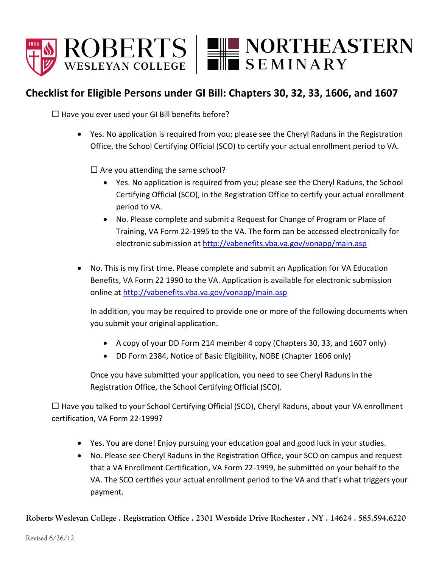

## **Checklist for Eligible Persons under GI Bill: Chapters 30, 32, 33, 1606, and 1607**

 $\Box$  Have you ever used your GI Bill benefits before?

 Yes. No application is required from you; please see the Cheryl Raduns in the Registration Office, the School Certifying Official (SCO) to certify your actual enrollment period to VA.

 $\Box$  Are you attending the same school?

- Yes. No application is required from you; please see the Cheryl Raduns, the School Certifying Official (SCO), in the Registration Office to certify your actual enrollment period to VA.
- No. Please complete and submit a Request for Change of Program or Place of Training, VA Form 22-1995 to the VA. The form can be accessed electronically for electronic submission at<http://vabenefits.vba.va.gov/vonapp/main.asp>
- No. This is my first time. Please complete and submit an Application for VA Education Benefits, VA Form 22 1990 to the VA. Application is available for electronic submission online at<http://vabenefits.vba.va.gov/vonapp/main.asp>

In addition, you may be required to provide one or more of the following documents when you submit your original application.

- A copy of your DD Form 214 member 4 copy (Chapters 30, 33, and 1607 only)
- DD Form 2384, Notice of Basic Eligibility, NOBE (Chapter 1606 only)

Once you have submitted your application, you need to see Cheryl Raduns in the Registration Office, the School Certifying Official (SCO).

 $\Box$  Have you talked to your School Certifying Official (SCO), Cheryl Raduns, about your VA enrollment certification, VA Form 22-1999?

- Yes. You are done! Enjoy pursuing your education goal and good luck in your studies.
- No. Please see Cheryl Raduns in the Registration Office, your SCO on campus and request that a VA Enrollment Certification, VA Form 22-1999, be submitted on your behalf to the VA. The SCO certifies your actual enrollment period to the VA and that's what triggers your payment.

**Roberts Wesleyan College . Registration Office . 2301 Westside Drive Rochester . NY . 14624 . 585.594.6220**